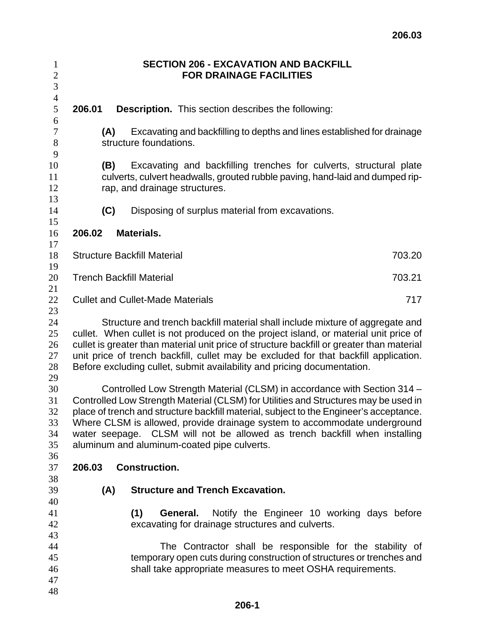| $\mathbf{1}$<br>$\sqrt{2}$                   |                                                                                                                                                                                                                                                                                                                                                                                                                                                                     |                               | <b>SECTION 206 - EXCAVATION AND BACKFILL</b><br><b>FOR DRAINAGE FACILITIES</b>                                                                                                                  |  |  |
|----------------------------------------------|---------------------------------------------------------------------------------------------------------------------------------------------------------------------------------------------------------------------------------------------------------------------------------------------------------------------------------------------------------------------------------------------------------------------------------------------------------------------|-------------------------------|-------------------------------------------------------------------------------------------------------------------------------------------------------------------------------------------------|--|--|
| 3<br>$\overline{4}$                          |                                                                                                                                                                                                                                                                                                                                                                                                                                                                     |                               |                                                                                                                                                                                                 |  |  |
| 5<br>6                                       | 206.01                                                                                                                                                                                                                                                                                                                                                                                                                                                              |                               | <b>Description.</b> This section describes the following:                                                                                                                                       |  |  |
| $\tau$<br>$8\,$<br>9                         | (A)                                                                                                                                                                                                                                                                                                                                                                                                                                                                 | structure foundations.        | Excavating and backfilling to depths and lines established for drainage                                                                                                                         |  |  |
| 10<br>11<br>12<br>13                         | (B)                                                                                                                                                                                                                                                                                                                                                                                                                                                                 | rap, and drainage structures. | Excavating and backfilling trenches for culverts, structural plate<br>culverts, culvert headwalls, grouted rubble paving, hand-laid and dumped rip-                                             |  |  |
| 14<br>15                                     | (C)                                                                                                                                                                                                                                                                                                                                                                                                                                                                 |                               | Disposing of surplus material from excavations.                                                                                                                                                 |  |  |
| 16<br>17                                     | 206.02                                                                                                                                                                                                                                                                                                                                                                                                                                                              | Materials.                    |                                                                                                                                                                                                 |  |  |
| 18<br>19                                     | <b>Structure Backfill Material</b><br>703.20                                                                                                                                                                                                                                                                                                                                                                                                                        |                               |                                                                                                                                                                                                 |  |  |
| 20<br>21                                     | <b>Trench Backfill Material</b><br>703.21                                                                                                                                                                                                                                                                                                                                                                                                                           |                               |                                                                                                                                                                                                 |  |  |
| 22<br>23                                     | <b>Cullet and Cullet-Made Materials</b><br>717                                                                                                                                                                                                                                                                                                                                                                                                                      |                               |                                                                                                                                                                                                 |  |  |
| 24<br>25<br>26<br>27<br>28                   | Structure and trench backfill material shall include mixture of aggregate and<br>cullet. When cullet is not produced on the project island, or material unit price of<br>cullet is greater than material unit price of structure backfill or greater than material<br>unit price of trench backfill, cullet may be excluded for that backfill application.<br>Before excluding cullet, submit availability and pricing documentation.                               |                               |                                                                                                                                                                                                 |  |  |
| 29<br>30<br>31<br>32<br>33<br>34<br>35<br>36 | Controlled Low Strength Material (CLSM) in accordance with Section 314 -<br>Controlled Low Strength Material (CLSM) for Utilities and Structures may be used in<br>place of trench and structure backfill material, subject to the Engineer's acceptance.<br>Where CLSM is allowed, provide drainage system to accommodate underground<br>water seepage. CLSM will not be allowed as trench backfill when installing<br>aluminum and aluminum-coated pipe culverts. |                               |                                                                                                                                                                                                 |  |  |
| 37<br>38                                     | 206.03                                                                                                                                                                                                                                                                                                                                                                                                                                                              | <b>Construction.</b>          |                                                                                                                                                                                                 |  |  |
| 39<br>40                                     | (A)                                                                                                                                                                                                                                                                                                                                                                                                                                                                 |                               | <b>Structure and Trench Excavation.</b>                                                                                                                                                         |  |  |
| 41<br>42<br>43                               |                                                                                                                                                                                                                                                                                                                                                                                                                                                                     | (1)                           | Notify the Engineer 10 working days before<br>General.<br>excavating for drainage structures and culverts.                                                                                      |  |  |
| 44<br>45<br>46<br>47                         |                                                                                                                                                                                                                                                                                                                                                                                                                                                                     |                               | The Contractor shall be responsible for the stability of<br>temporary open cuts during construction of structures or trenches and<br>shall take appropriate measures to meet OSHA requirements. |  |  |
| 48                                           |                                                                                                                                                                                                                                                                                                                                                                                                                                                                     |                               |                                                                                                                                                                                                 |  |  |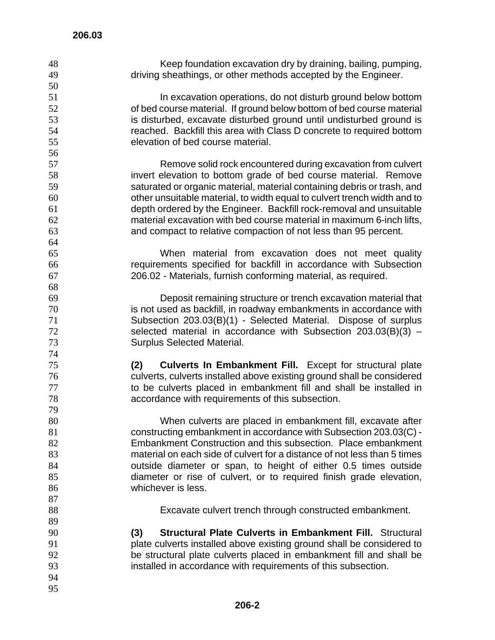| 48<br>49 | Keep foundation excavation dry by draining, bailing, pumping,<br>driving sheathings, or other methods accepted by the Engineer. |
|----------|---------------------------------------------------------------------------------------------------------------------------------|
| 50       |                                                                                                                                 |
| 51       | In excavation operations, do not disturb ground below bottom                                                                    |
| 52       | of bed course material. If ground below bottom of bed course material                                                           |
| 53       | is disturbed, excavate disturbed ground until undisturbed ground is                                                             |
| 54       | reached. Backfill this area with Class D concrete to required bottom                                                            |
| 55<br>56 | elevation of bed course material.                                                                                               |
| 57       | Remove solid rock encountered during excavation from culvert                                                                    |
| 58       | invert elevation to bottom grade of bed course material. Remove                                                                 |
| 59       | saturated or organic material, material containing debris or trash, and                                                         |
| 60       | other unsuitable material, to width equal to culvert trench width and to                                                        |
| 61       | depth ordered by the Engineer. Backfill rock-removal and unsuitable                                                             |
| 62       | material excavation with bed course material in maximum 6-inch lifts,                                                           |
| 63       | and compact to relative compaction of not less than 95 percent.                                                                 |
| 64       |                                                                                                                                 |
| 65       | When material from excavation does not meet quality                                                                             |
| 66       | requirements specified for backfill in accordance with Subsection                                                               |
| 67       | 206.02 - Materials, furnish conforming material, as required.                                                                   |
| 68       |                                                                                                                                 |
| 69       | Deposit remaining structure or trench excavation material that                                                                  |
| 70       | is not used as backfill, in roadway embankments in accordance with                                                              |
| 71       | Subsection 203.03(B)(1) - Selected Material. Dispose of surplus                                                                 |
| 72       | selected material in accordance with Subsection $203.03(B)(3)$ -                                                                |
| 73       | <b>Surplus Selected Material.</b>                                                                                               |
| 74       |                                                                                                                                 |
| 75       | <b>Culverts In Embankment Fill.</b> Except for structural plate<br>(2)                                                          |
| 76       | culverts, culverts installed above existing ground shall be considered                                                          |
| 77       | to be culverts placed in embankment fill and shall be installed in                                                              |
| 78       | accordance with requirements of this subsection.                                                                                |
| 79       |                                                                                                                                 |
| 80       | When culverts are placed in embankment fill, excavate after                                                                     |
| 81       | constructing embankment in accordance with Subsection 203.03(C) -                                                               |
| 82       | Embankment Construction and this subsection. Place embankment                                                                   |
| 83       | material on each side of culvert for a distance of not less than 5 times                                                        |
| 84       | outside diameter or span, to height of either 0.5 times outside                                                                 |
| 85       | diameter or rise of culvert, or to required finish grade elevation,                                                             |
| 86       | whichever is less.                                                                                                              |
| 87       |                                                                                                                                 |
| 88       | Excavate culvert trench through constructed embankment.                                                                         |
| 89       |                                                                                                                                 |
| 90       | <b>Structural Plate Culverts in Embankment Fill. Structural</b><br>(3)                                                          |
| 91       | plate culverts installed above existing ground shall be considered to                                                           |
| 92       | be structural plate culverts placed in embankment fill and shall be                                                             |
| 93       | installed in accordance with requirements of this subsection.                                                                   |
| 94       |                                                                                                                                 |
| 95       |                                                                                                                                 |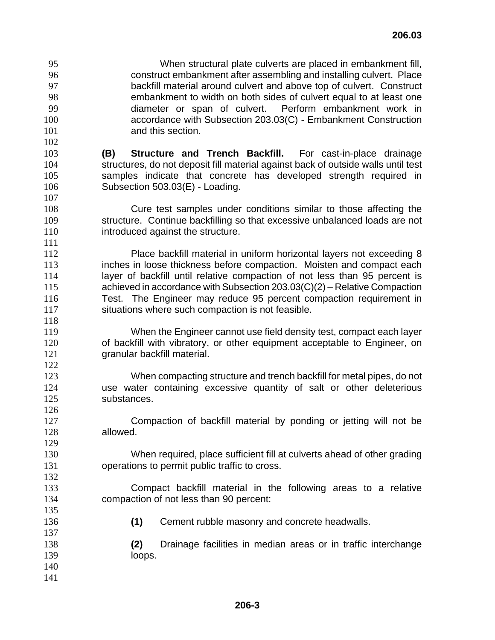- When structural plate culverts are placed in embankment fill, construct embankment after assembling and installing culvert. Place backfill material around culvert and above top of culvert. Construct embankment to width on both sides of culvert equal to at least one diameter or span of culvert. Perform embankment work in accordance with Subsection 203.03(C) - Embankment Construction 101 and this section.
- **(B) Structure and Trench Backfill.** For cast-in-place drainage structures, do not deposit fill material against back of outside walls until test samples indicate that concrete has developed strength required in Subsection 503.03(E) - Loading.
- Cure test samples under conditions similar to those affecting the structure. Continue backfilling so that excessive unbalanced loads are not **introduced against the structure.**
- Place backfill material in uniform horizontal layers not exceeding 8 **inches in loose thickness before compaction.** Moisten and compact each 114 layer of backfill until relative compaction of not less than 95 percent is achieved in accordance with Subsection 203.03(C)(2) – Relative Compaction Test. The Engineer may reduce 95 percent compaction requirement in situations where such compaction is not feasible.
- When the Engineer cannot use field density test, compact each layer of backfill with vibratory, or other equipment acceptable to Engineer, on granular backfill material.
- When compacting structure and trench backfill for metal pipes, do not use water containing excessive quantity of salt or other deleterious substances.
- Compaction of backfill material by ponding or jetting will not be allowed.
- When required, place sufficient fill at culverts ahead of other grading operations to permit public traffic to cross.
- Compact backfill material in the following areas to a relative compaction of not less than 90 percent:
- **(1)** Cement rubble masonry and concrete headwalls.
- **(2)** Drainage facilities in median areas or in traffic interchange 139 loops.
-